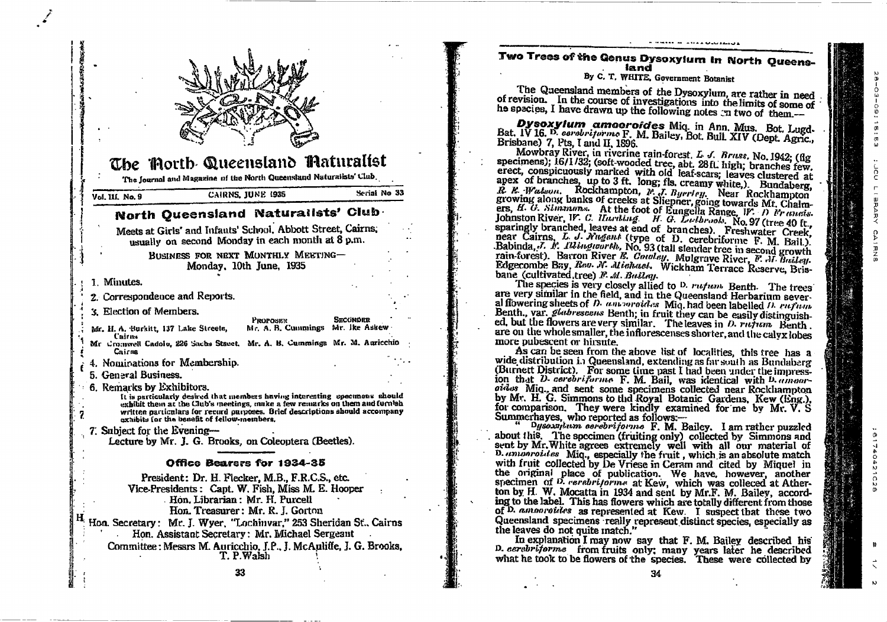

Two Trees of the Genus Dysoxyium in North Queensland

By C. T. WHITE, Government Botanist

CAIRNS

01740

 $\mathbf{v}$ 

 $\Omega$ 

The Queensland members of the Dysoxylum, are rather in need of revision. In the course of investigations into the limits of some of he species, I have drawn up the following notes on two of them.-

Dysoxylum amoorofdes Miq. in Ann. Mus. Bot. Lugd-<br>Bat. IV 16. D. cerebritarme F. M. Bailey, Bot. Bull. XIV (Dept. Agric., Brisbane) 7, Pts, I and II, 1896.

Mowbray River, in riverine rain-forest, L. J. Bruss, No. 1942; (flg. specimens); 16/1/32; (soft-wooded tree, abt. 28 fl. high; branches few. erect. conspicuously marked with old leaf-scars; leaves clustered at apex of branches, up to 3 ft. long; fls. creamy white,). Bundaberg, R. R. Watson, Rockhampton, P. J. Byerley, Near Rockhampton<br>growing along banks of creeks at Sliepner, going towards Mt. Chalmgrowing annual manns of creation of Europe in Sound and the contract of Europe in the U. C. Hannov and the Johnston River, IV. C. Harding. H. G. Lethrood, No. 97 (tree 40 ft., sparingly branched, leaves at end of branches). Freshwater Creek, near Cairns, L. J. Nugant (type of D. cerebritorme F. M. Bail.).<br>Babinda, J. K. 11 buguarth, No. 93 (tall slender tree in second growth rain-forest). Barron River E. Countey. Mulgrave River, F. J. Bailey. Edgecombe Bay, Rev. N. Michael. Wickham Terrace Reserve, Brisbane (cultivated, tree) F. M. Builay.

The species is very closely allied to D. rufum Benth. The trees are very similar in the field, and in the Queensland Herbarium several flowering sheets of D. antropoides. Mig. had been labelled D. ruftun. Benth., var. *gladrescens* Benth; in fruit they can be easily distinguished. but the flowers are very similar. The leaves in  $D$ . rutum Benth. are on the whole smaller, the inflorescenses shorter, and the calvx lobes more pubescent or hirsute.

As can be seen from the above list of localities, this tree has a wide distribution in Queensland, extending as far south as Bundaberg (Burnett District). For some time past I had been under the impression that D- cerebriforme F. M. Bail, was identical with D-*amour*oides Mig., and sent some specimens collected near Rockhampton by Mr. H. G. Simmons to thd Royal Botanic Gardens, Kew (Eng.), for comparison. They were kindly examined for me by Mr. V. S. Summerhaves. who reported as follows.-

Dysomptum cerebrijorne F. M. Bailey. I am rather puzzled about this. The specimen (fruiting only) collected by Simmons and sent by Mr. White agrees extremely well with all our material of D. annonroides Miq., especially the fruit, which is an absolute match with fruit collected by De Vriese in Ceram and cited by Miquel in the original place of publication. We have, however, another specimen of D. rerebritorme at Kew, which was colleced at Atherton by H. W. Mocatta in 1934 and sent by Mr.F. M. Bailey, according to the label. This has flowers which are totally different from those of D. amonroides as represented at Kew. I suspect that these two Queensland specimens really represent distinct species, especially as the leaves do not quite match."

In explanation I may now say that F. M. Bailey described his D. cerabritorme from fruits only; many years later he described what he took to be flowers of the species. These were collected by